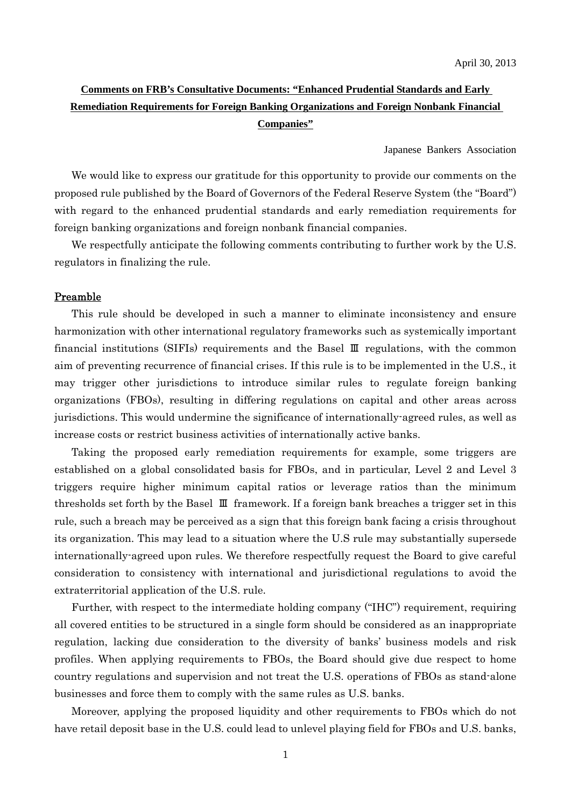# **Comments on FRB's Consultative Documents: "Enhanced Prudential Standards and Early Remediation Requirements for Foreign Banking Organizations and Foreign Nonbank Financial Companies"**

Japanese Bankers Association

We would like to express our gratitude for this opportunity to provide our comments on the proposed rule published by the Board of Governors of the Federal Reserve System (the "Board") with regard to the enhanced prudential standards and early remediation requirements for foreign banking organizations and foreign nonbank financial companies.

We respectfully anticipate the following comments contributing to further work by the U.S. regulators in finalizing the rule.

### Preamble

This rule should be developed in such a manner to eliminate inconsistency and ensure harmonization with other international regulatory frameworks such as systemically important financial institutions (SIFIs) requirements and the Basel Ⅲ regulations, with the common aim of preventing recurrence of financial crises. If this rule is to be implemented in the U.S., it may trigger other jurisdictions to introduce similar rules to regulate foreign banking organizations (FBOs), resulting in differing regulations on capital and other areas across jurisdictions. This would undermine the significance of internationally-agreed rules, as well as increase costs or restrict business activities of internationally active banks.

Taking the proposed early remediation requirements for example, some triggers are established on a global consolidated basis for FBOs, and in particular, Level 2 and Level 3 triggers require higher minimum capital ratios or leverage ratios than the minimum thresholds set forth by the Basel Ⅲ framework. If a foreign bank breaches a trigger set in this rule, such a breach may be perceived as a sign that this foreign bank facing a crisis throughout its organization. This may lead to a situation where the U.S rule may substantially supersede internationally-agreed upon rules. We therefore respectfully request the Board to give careful consideration to consistency with international and jurisdictional regulations to avoid the extraterritorial application of the U.S. rule.

Further, with respect to the intermediate holding company ("IHC") requirement, requiring all covered entities to be structured in a single form should be considered as an inappropriate regulation, lacking due consideration to the diversity of banks' business models and risk profiles. When applying requirements to FBOs, the Board should give due respect to home country regulations and supervision and not treat the U.S. operations of FBOs as stand-alone businesses and force them to comply with the same rules as U.S. banks.

Moreover, applying the proposed liquidity and other requirements to FBOs which do not have retail deposit base in the U.S. could lead to unlevel playing field for FBOs and U.S. banks,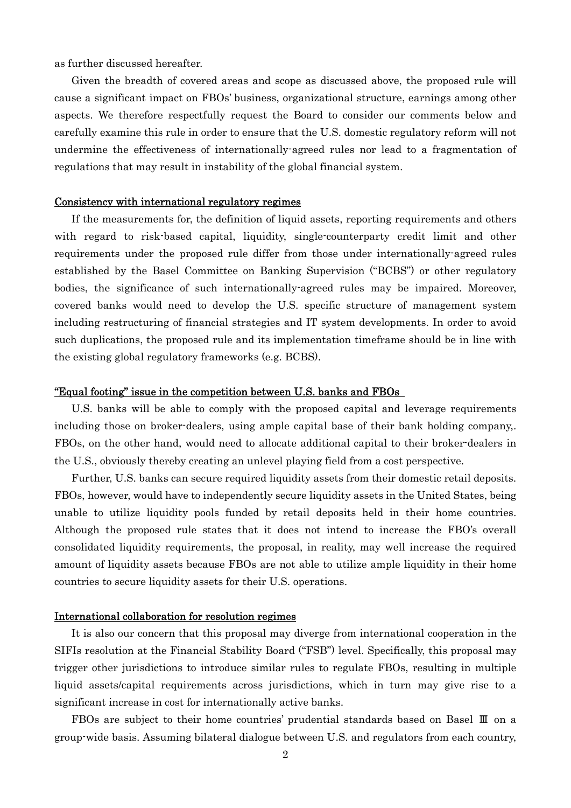as further discussed hereafter.

Given the breadth of covered areas and scope as discussed above, the proposed rule will cause a significant impact on FBOs' business, organizational structure, earnings among other aspects. We therefore respectfully request the Board to consider our comments below and carefully examine this rule in order to ensure that the U.S. domestic regulatory reform will not undermine the effectiveness of internationally-agreed rules nor lead to a fragmentation of regulations that may result in instability of the global financial system.

### Consistency with international regulatory regimes

If the measurements for, the definition of liquid assets, reporting requirements and others with regard to risk-based capital, liquidity, single-counterparty credit limit and other requirements under the proposed rule differ from those under internationally-agreed rules established by the Basel Committee on Banking Supervision ("BCBS") or other regulatory bodies, the significance of such internationally-agreed rules may be impaired. Moreover, covered banks would need to develop the U.S. specific structure of management system including restructuring of financial strategies and IT system developments. In order to avoid such duplications, the proposed rule and its implementation timeframe should be in line with the existing global regulatory frameworks (e.g. BCBS).

#### "Equal footing" issue in the competition between U.S. banks and FBOs

U.S. banks will be able to comply with the proposed capital and leverage requirements including those on broker-dealers, using ample capital base of their bank holding company,. FBOs, on the other hand, would need to allocate additional capital to their broker-dealers in the U.S., obviously thereby creating an unlevel playing field from a cost perspective.

Further, U.S. banks can secure required liquidity assets from their domestic retail deposits. FBOs, however, would have to independently secure liquidity assets in the United States, being unable to utilize liquidity pools funded by retail deposits held in their home countries. Although the proposed rule states that it does not intend to increase the FBO's overall consolidated liquidity requirements, the proposal, in reality, may well increase the required amount of liquidity assets because FBOs are not able to utilize ample liquidity in their home countries to secure liquidity assets for their U.S. operations.

### International collaboration for resolution regimes

It is also our concern that this proposal may diverge from international cooperation in the SIFIs resolution at the Financial Stability Board ("FSB") level. Specifically, this proposal may trigger other jurisdictions to introduce similar rules to regulate FBOs, resulting in multiple liquid assets/capital requirements across jurisdictions, which in turn may give rise to a significant increase in cost for internationally active banks.

FBOs are subject to their home countries' prudential standards based on Basel Ⅲ on a group-wide basis. Assuming bilateral dialogue between U.S. and regulators from each country,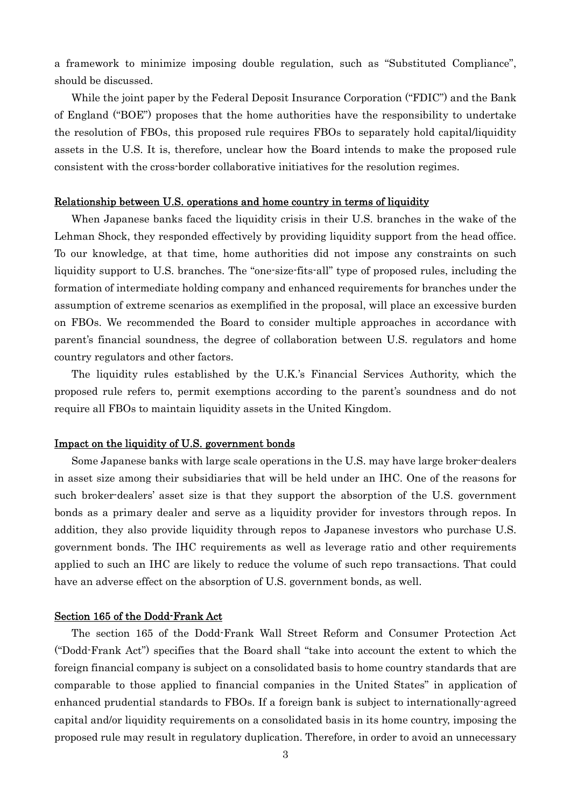a framework to minimize imposing double regulation, such as "Substituted Compliance", should be discussed.

While the joint paper by the Federal Deposit Insurance Corporation ("FDIC") and the Bank of England ("BOE") proposes that the home authorities have the responsibility to undertake the resolution of FBOs, this proposed rule requires FBOs to separately hold capital/liquidity assets in the U.S. It is, therefore, unclear how the Board intends to make the proposed rule consistent with the cross-border collaborative initiatives for the resolution regimes.

#### Relationship between U.S. operations and home country in terms of liquidity

When Japanese banks faced the liquidity crisis in their U.S. branches in the wake of the Lehman Shock, they responded effectively by providing liquidity support from the head office. To our knowledge, at that time, home authorities did not impose any constraints on such liquidity support to U.S. branches. The "one-size-fits-all" type of proposed rules, including the formation of intermediate holding company and enhanced requirements for branches under the assumption of extreme scenarios as exemplified in the proposal, will place an excessive burden on FBOs. We recommended the Board to consider multiple approaches in accordance with parent's financial soundness, the degree of collaboration between U.S. regulators and home country regulators and other factors.

The liquidity rules established by the U.K.'s Financial Services Authority, which the proposed rule refers to, permit exemptions according to the parent's soundness and do not require all FBOs to maintain liquidity assets in the United Kingdom.

### Impact on the liquidity of U.S. government bonds

Some Japanese banks with large scale operations in the U.S. may have large broker-dealers in asset size among their subsidiaries that will be held under an IHC. One of the reasons for such broker-dealers' asset size is that they support the absorption of the U.S. government bonds as a primary dealer and serve as a liquidity provider for investors through repos. In addition, they also provide liquidity through repos to Japanese investors who purchase U.S. government bonds. The IHC requirements as well as leverage ratio and other requirements applied to such an IHC are likely to reduce the volume of such repo transactions. That could have an adverse effect on the absorption of U.S. government bonds, as well.

### Section 165 of the Dodd-Frank Act

The section 165 of the Dodd-Frank Wall Street Reform and Consumer Protection Act ("Dodd-Frank Act") specifies that the Board shall "take into account the extent to which the foreign financial company is subject on a consolidated basis to home country standards that are comparable to those applied to financial companies in the United States" in application of enhanced prudential standards to FBOs. If a foreign bank is subject to internationally-agreed capital and/or liquidity requirements on a consolidated basis in its home country, imposing the proposed rule may result in regulatory duplication. Therefore, in order to avoid an unnecessary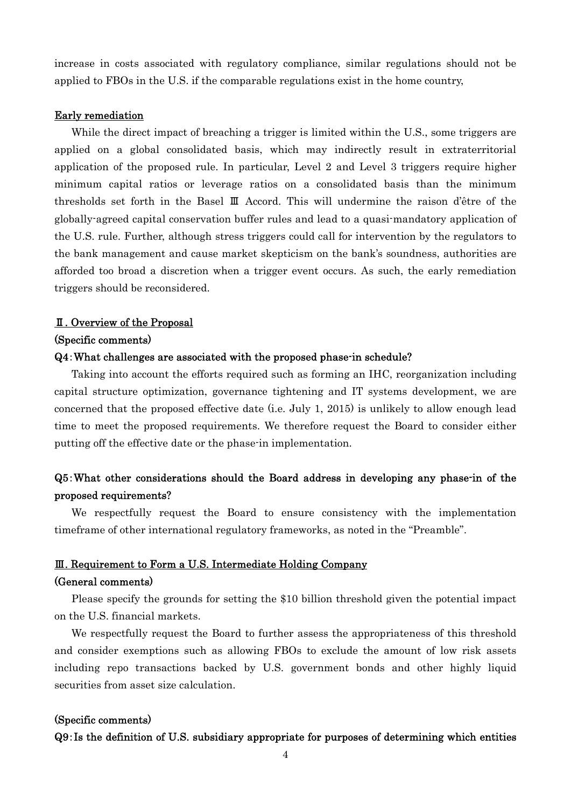increase in costs associated with regulatory compliance, similar regulations should not be applied to FBOs in the U.S. if the comparable regulations exist in the home country,

#### Early remediation

While the direct impact of breaching a trigger is limited within the U.S., some triggers are applied on a global consolidated basis, which may indirectly result in extraterritorial application of the proposed rule. In particular, Level 2 and Level 3 triggers require higher minimum capital ratios or leverage ratios on a consolidated basis than the minimum thresholds set forth in the Basel Ⅲ Accord. This will undermine the raison d'être of the globally-agreed capital conservation buffer rules and lead to a quasi-mandatory application of the U.S. rule. Further, although stress triggers could call for intervention by the regulators to the bank management and cause market skepticism on the bank's soundness, authorities are afforded too broad a discretion when a trigger event occurs. As such, the early remediation triggers should be reconsidered.

### Ⅱ. Overview of the Proposal

#### (Specific comments)

#### Q4:What challenges are associated with the proposed phase-in schedule?

Taking into account the efforts required such as forming an IHC, reorganization including capital structure optimization, governance tightening and IT systems development, we are concerned that the proposed effective date (i.e. July 1, 2015) is unlikely to allow enough lead time to meet the proposed requirements. We therefore request the Board to consider either putting off the effective date or the phase-in implementation.

## Q5:What other considerations should the Board address in developing any phase-in of the proposed requirements?

We respectfully request the Board to ensure consistency with the implementation timeframe of other international regulatory frameworks, as noted in the "Preamble".

### Ⅲ. Requirement to Form a U.S. Intermediate Holding Company

#### (General comments)

Please specify the grounds for setting the \$10 billion threshold given the potential impact on the U.S. financial markets.

We respectfully request the Board to further assess the appropriateness of this threshold and consider exemptions such as allowing FBOs to exclude the amount of low risk assets including repo transactions backed by U.S. government bonds and other highly liquid securities from asset size calculation.

## (Specific comments)

### Q9:Is the definition of U.S. subsidiary appropriate for purposes of determining which entities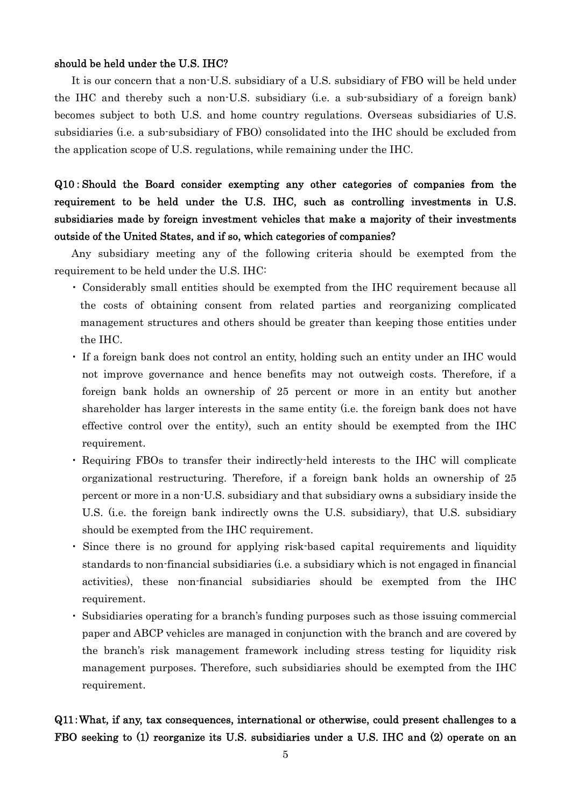## should be held under the U.S. IHC?

It is our concern that a non-U.S. subsidiary of a U.S. subsidiary of FBO will be held under the IHC and thereby such a non-U.S. subsidiary (i.e. a sub-subsidiary of a foreign bank) becomes subject to both U.S. and home country regulations. Overseas subsidiaries of U.S. subsidiaries (i.e. a sub-subsidiary of FBO) consolidated into the IHC should be excluded from the application scope of U.S. regulations, while remaining under the IHC.

# Q10:Should the Board consider exempting any other categories of companies from the requirement to be held under the U.S. IHC, such as controlling investments in U.S. subsidiaries made by foreign investment vehicles that make a majority of their investments outside of the United States, and if so, which categories of companies?

Any subsidiary meeting any of the following criteria should be exempted from the requirement to be held under the U.S. IHC:

- ・ Considerably small entities should be exempted from the IHC requirement because all the costs of obtaining consent from related parties and reorganizing complicated management structures and others should be greater than keeping those entities under the IHC.
- ・ If a foreign bank does not control an entity, holding such an entity under an IHC would not improve governance and hence benefits may not outweigh costs. Therefore, if a foreign bank holds an ownership of 25 percent or more in an entity but another shareholder has larger interests in the same entity (i.e. the foreign bank does not have effective control over the entity), such an entity should be exempted from the IHC requirement.
- ・ Requiring FBOs to transfer their indirectly-held interests to the IHC will complicate organizational restructuring. Therefore, if a foreign bank holds an ownership of 25 percent or more in a non-U.S. subsidiary and that subsidiary owns a subsidiary inside the U.S. (i.e. the foreign bank indirectly owns the U.S. subsidiary), that U.S. subsidiary should be exempted from the IHC requirement.
- ・ Since there is no ground for applying risk-based capital requirements and liquidity standards to non-financial subsidiaries (i.e. a subsidiary which is not engaged in financial activities), these non-financial subsidiaries should be exempted from the IHC requirement.
- ・ Subsidiaries operating for a branch's funding purposes such as those issuing commercial paper and ABCP vehicles are managed in conjunction with the branch and are covered by the branch's risk management framework including stress testing for liquidity risk management purposes. Therefore, such subsidiaries should be exempted from the IHC requirement.

# Q11:What, if any, tax consequences, international or otherwise, could present challenges to a FBO seeking to (1) reorganize its U.S. subsidiaries under a U.S. IHC and (2) operate on an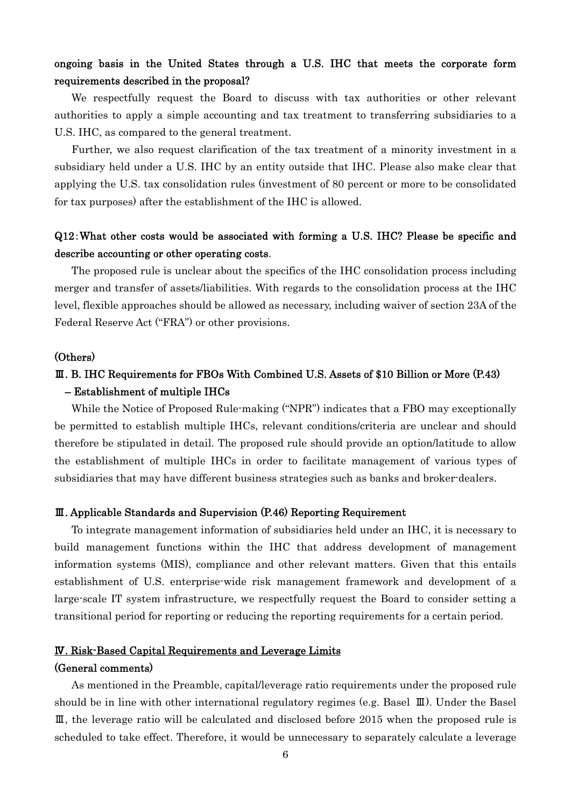## ongoing basis in the United States through a U.S. IHC that meets the corporate form requirements described in the proposal?

We respectfully request the Board to discuss with tax authorities or other relevant authorities to apply a simple accounting and tax treatment to transferring subsidiaries to a U.S. IHC, as compared to the general treatment.

Further, we also request clarification of the tax treatment of a minority investment in a subsidiary held under a U.S. IHC by an entity outside that IHC. Please also make clear that applying the U.S. tax consolidation rules (investment of 80 percent or more to be consolidated for tax purposes) after the establishment of the IHC is allowed.

# Q12:What other costs would be associated with forming a U.S. IHC? Please be specific and describe accounting or other operating costs.

The proposed rule is unclear about the specifics of the IHC consolidation process including merger and transfer of assets/liabilities. With regards to the consolidation process at the IHC level, flexible approaches should be allowed as necessary, including waiver of section 23A of the Federal Reserve Act ("FRA") or other provisions.

### (Others)

# Ⅲ. B. IHC Requirements for FBOs With Combined U.S. Assets of \$10 Billion or More (P.43) – Establishment of multiple IHCs

While the Notice of Proposed Rule-making ("NPR") indicates that a FBO may exceptionally be permitted to establish multiple IHCs, relevant conditions/criteria are unclear and should therefore be stipulated in detail. The proposed rule should provide an option/latitude to allow the establishment of multiple IHCs in order to facilitate management of various types of subsidiaries that may have different business strategies such as banks and broker-dealers.

#### Ⅲ. Applicable Standards and Supervision (P.46) Reporting Requirement

To integrate management information of subsidiaries held under an IHC, it is necessary to build management functions within the IHC that address development of management information systems (MIS), compliance and other relevant matters. Given that this entails establishment of U.S. enterprise-wide risk management framework and development of a large-scale IT system infrastructure, we respectfully request the Board to consider setting a transitional period for reporting or reducing the reporting requirements for a certain period.

## Ⅳ. Risk-Based Capital Requirements and Leverage Limits (General comments)

As mentioned in the Preamble, capital/leverage ratio requirements under the proposed rule should be in line with other international regulatory regimes (e.g. Basel Ⅲ). Under the Basel Ⅲ, the leverage ratio will be calculated and disclosed before 2015 when the proposed rule is scheduled to take effect. Therefore, it would be unnecessary to separately calculate a leverage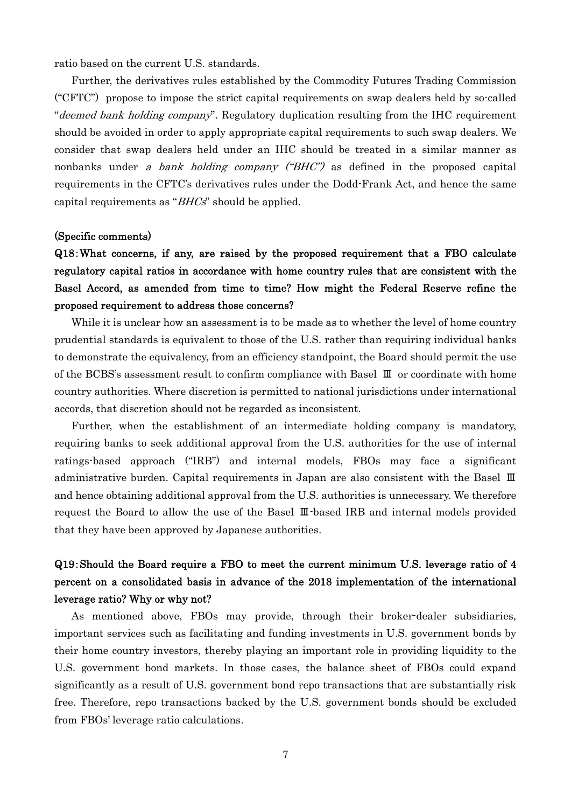ratio based on the current U.S. standards.

Further, the derivatives rules established by the Commodity Futures Trading Commission ("CFTC") propose to impose the strict capital requirements on swap dealers held by so-called "deemed bank holding company". Regulatory duplication resulting from the IHC requirement should be avoided in order to apply appropriate capital requirements to such swap dealers. We consider that swap dealers held under an IHC should be treated in a similar manner as nonbanks under a bank holding company ("BHC") as defined in the proposed capital requirements in the CFTC's derivatives rules under the Dodd-Frank Act, and hence the same capital requirements as " $BHCs$ " should be applied.

### (Specific comments)

Q18:What concerns, if any, are raised by the proposed requirement that a FBO calculate regulatory capital ratios in accordance with home country rules that are consistent with the Basel Accord, as amended from time to time? How might the Federal Reserve refine the proposed requirement to address those concerns?

While it is unclear how an assessment is to be made as to whether the level of home country prudential standards is equivalent to those of the U.S. rather than requiring individual banks to demonstrate the equivalency, from an efficiency standpoint, the Board should permit the use of the BCBS's assessment result to confirm compliance with Basel Ⅲ or coordinate with home country authorities. Where discretion is permitted to national jurisdictions under international accords, that discretion should not be regarded as inconsistent.

Further, when the establishment of an intermediate holding company is mandatory, requiring banks to seek additional approval from the U.S. authorities for the use of internal ratings-based approach ("IRB") and internal models, FBOs may face a significant administrative burden. Capital requirements in Japan are also consistent with the Basel Ⅲ and hence obtaining additional approval from the U.S. authorities is unnecessary. We therefore request the Board to allow the use of the Basel Ⅲ-based IRB and internal models provided that they have been approved by Japanese authorities.

# Q19:Should the Board require a FBO to meet the current minimum U.S. leverage ratio of 4 percent on a consolidated basis in advance of the 2018 implementation of the international leverage ratio? Why or why not?

As mentioned above, FBOs may provide, through their broker-dealer subsidiaries, important services such as facilitating and funding investments in U.S. government bonds by their home country investors, thereby playing an important role in providing liquidity to the U.S. government bond markets. In those cases, the balance sheet of FBOs could expand significantly as a result of U.S. government bond repo transactions that are substantially risk free. Therefore, repo transactions backed by the U.S. government bonds should be excluded from FBOs' leverage ratio calculations.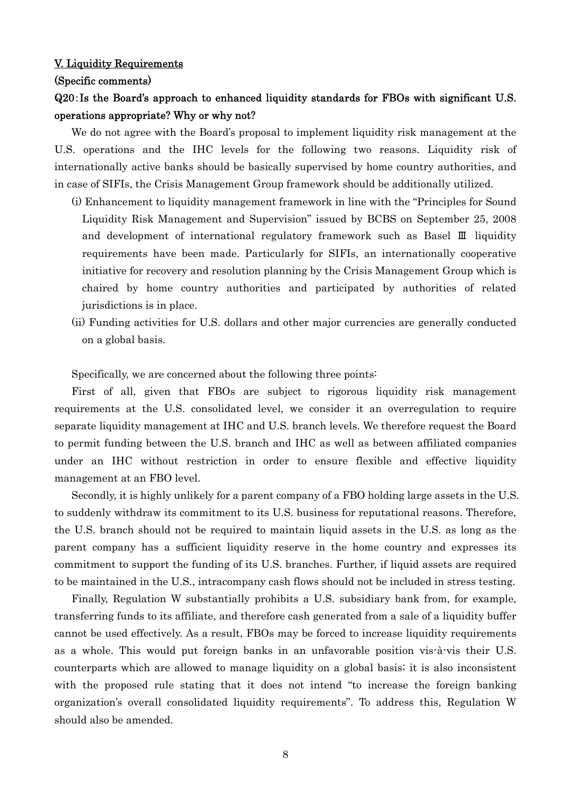#### V. Liquidity Requirements

#### (Specific comments)

# Q20:Is the Board's approach to enhanced liquidity standards for FBOs with significant U.S. operations appropriate? Why or why not?

We do not agree with the Board's proposal to implement liquidity risk management at the U.S. operations and the IHC levels for the following two reasons. Liquidity risk of internationally active banks should be basically supervised by home country authorities, and in case of SIFIs, the Crisis Management Group framework should be additionally utilized.

- (i) Enhancement to liquidity management framework in line with the "Principles for Sound Liquidity Risk Management and Supervision" issued by BCBS on September 25, 2008 and development of international regulatory framework such as Basel Ⅲ liquidity requirements have been made. Particularly for SIFIs, an internationally cooperative initiative for recovery and resolution planning by the Crisis Management Group which is chaired by home country authorities and participated by authorities of related jurisdictions is in place.
- (ii) Funding activities for U.S. dollars and other major currencies are generally conducted on a global basis.

Specifically, we are concerned about the following three points:

First of all, given that FBOs are subject to rigorous liquidity risk management requirements at the U.S. consolidated level, we consider it an overregulation to require separate liquidity management at IHC and U.S. branch levels. We therefore request the Board to permit funding between the U.S. branch and IHC as well as between affiliated companies under an IHC without restriction in order to ensure flexible and effective liquidity management at an FBO level.

Secondly, it is highly unlikely for a parent company of a FBO holding large assets in the U.S. to suddenly withdraw its commitment to its U.S. business for reputational reasons. Therefore, the U.S. branch should not be required to maintain liquid assets in the U.S. as long as the parent company has a sufficient liquidity reserve in the home country and expresses its commitment to support the funding of its U.S. branches. Further, if liquid assets are required to be maintained in the U.S., intracompany cash flows should not be included in stress testing.

Finally, Regulation W substantially prohibits a U.S. subsidiary bank from, for example, transferring funds to its affiliate, and therefore cash generated from a sale of a liquidity buffer cannot be used effectively. As a result, FBOs may be forced to increase liquidity requirements as a whole. This would put foreign banks in an unfavorable position vis-à-vis their U.S. counterparts which are allowed to manage liquidity on a global basis; it is also inconsistent with the proposed rule stating that it does not intend "to increase the foreign banking organization's overall consolidated liquidity requirements". To address this, Regulation W should also be amended.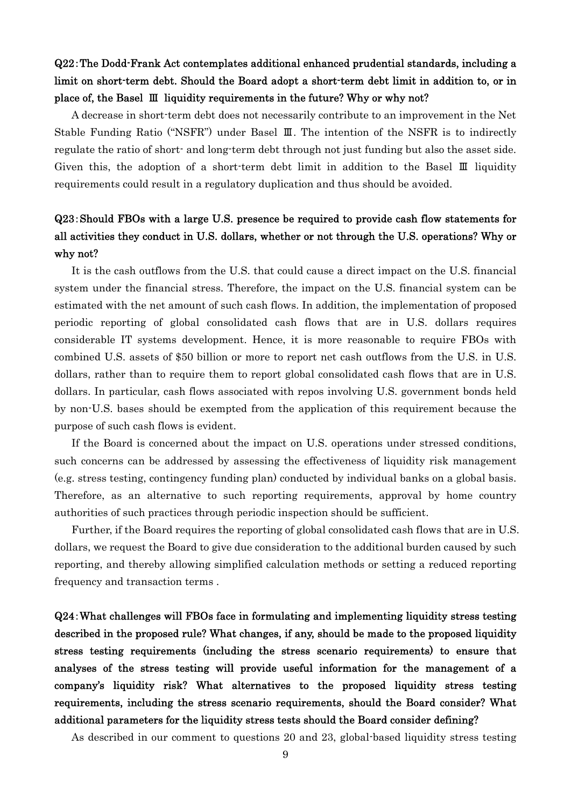# Q22:The Dodd-Frank Act contemplates additional enhanced prudential standards, including a limit on short-term debt. Should the Board adopt a short-term debt limit in addition to, or in place of, the Basel Ⅲ liquidity requirements in the future? Why or why not?

A decrease in short-term debt does not necessarily contribute to an improvement in the Net Stable Funding Ratio ("NSFR") under Basel Ⅲ. The intention of the NSFR is to indirectly regulate the ratio of short- and long-term debt through not just funding but also the asset side. Given this, the adoption of a short-term debt limit in addition to the Basel Ⅲ liquidity requirements could result in a regulatory duplication and thus should be avoided.

# Q23:Should FBOs with a large U.S. presence be required to provide cash flow statements for all activities they conduct in U.S. dollars, whether or not through the U.S. operations? Why or why not?

It is the cash outflows from the U.S. that could cause a direct impact on the U.S. financial system under the financial stress. Therefore, the impact on the U.S. financial system can be estimated with the net amount of such cash flows. In addition, the implementation of proposed periodic reporting of global consolidated cash flows that are in U.S. dollars requires considerable IT systems development. Hence, it is more reasonable to require FBOs with combined U.S. assets of \$50 billion or more to report net cash outflows from the U.S. in U.S. dollars, rather than to require them to report global consolidated cash flows that are in U.S. dollars. In particular, cash flows associated with repos involving U.S. government bonds held by non-U.S. bases should be exempted from the application of this requirement because the purpose of such cash flows is evident.

If the Board is concerned about the impact on U.S. operations under stressed conditions, such concerns can be addressed by assessing the effectiveness of liquidity risk management (e.g. stress testing, contingency funding plan) conducted by individual banks on a global basis. Therefore, as an alternative to such reporting requirements, approval by home country authorities of such practices through periodic inspection should be sufficient.

Further, if the Board requires the reporting of global consolidated cash flows that are in U.S. dollars, we request the Board to give due consideration to the additional burden caused by such reporting, and thereby allowing simplified calculation methods or setting a reduced reporting frequency and transaction terms .

Q24:What challenges will FBOs face in formulating and implementing liquidity stress testing described in the proposed rule? What changes, if any, should be made to the proposed liquidity stress testing requirements (including the stress scenario requirements) to ensure that analyses of the stress testing will provide useful information for the management of a company's liquidity risk? What alternatives to the proposed liquidity stress testing requirements, including the stress scenario requirements, should the Board consider? What additional parameters for the liquidity stress tests should the Board consider defining?

As described in our comment to questions 20 and 23, global-based liquidity stress testing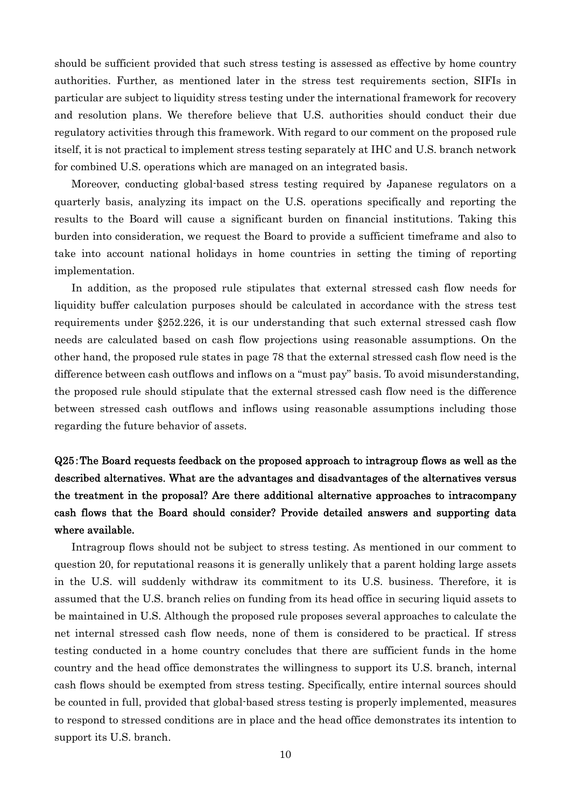should be sufficient provided that such stress testing is assessed as effective by home country authorities. Further, as mentioned later in the stress test requirements section, SIFIs in particular are subject to liquidity stress testing under the international framework for recovery and resolution plans. We therefore believe that U.S. authorities should conduct their due regulatory activities through this framework. With regard to our comment on the proposed rule itself, it is not practical to implement stress testing separately at IHC and U.S. branch network for combined U.S. operations which are managed on an integrated basis.

Moreover, conducting global-based stress testing required by Japanese regulators on a quarterly basis, analyzing its impact on the U.S. operations specifically and reporting the results to the Board will cause a significant burden on financial institutions. Taking this burden into consideration, we request the Board to provide a sufficient timeframe and also to take into account national holidays in home countries in setting the timing of reporting implementation.

In addition, as the proposed rule stipulates that external stressed cash flow needs for liquidity buffer calculation purposes should be calculated in accordance with the stress test requirements under §252.226, it is our understanding that such external stressed cash flow needs are calculated based on cash flow projections using reasonable assumptions. On the other hand, the proposed rule states in page 78 that the external stressed cash flow need is the difference between cash outflows and inflows on a "must pay" basis. To avoid misunderstanding, the proposed rule should stipulate that the external stressed cash flow need is the difference between stressed cash outflows and inflows using reasonable assumptions including those regarding the future behavior of assets.

# Q25:The Board requests feedback on the proposed approach to intragroup flows as well as the described alternatives. What are the advantages and disadvantages of the alternatives versus the treatment in the proposal? Are there additional alternative approaches to intracompany cash flows that the Board should consider? Provide detailed answers and supporting data where available.

Intragroup flows should not be subject to stress testing. As mentioned in our comment to question 20, for reputational reasons it is generally unlikely that a parent holding large assets in the U.S. will suddenly withdraw its commitment to its U.S. business. Therefore, it is assumed that the U.S. branch relies on funding from its head office in securing liquid assets to be maintained in U.S. Although the proposed rule proposes several approaches to calculate the net internal stressed cash flow needs, none of them is considered to be practical. If stress testing conducted in a home country concludes that there are sufficient funds in the home country and the head office demonstrates the willingness to support its U.S. branch, internal cash flows should be exempted from stress testing. Specifically, entire internal sources should be counted in full, provided that global-based stress testing is properly implemented, measures to respond to stressed conditions are in place and the head office demonstrates its intention to support its U.S. branch.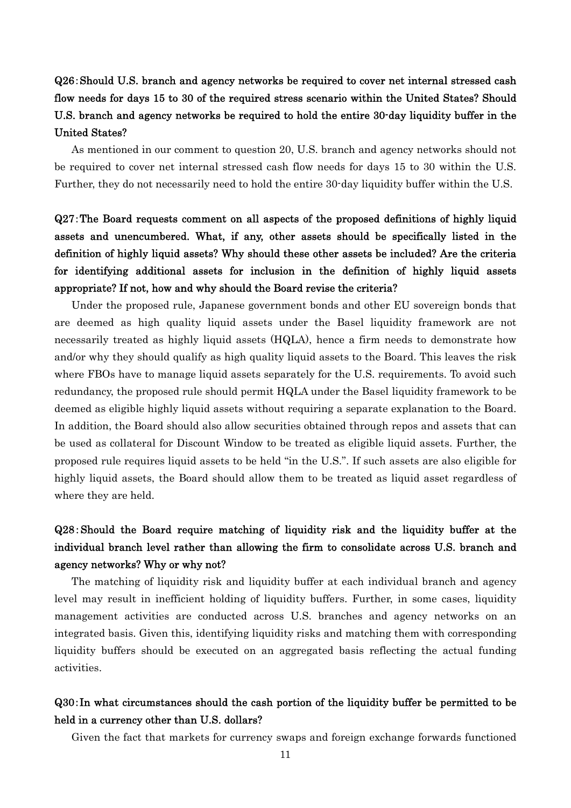# Q26:Should U.S. branch and agency networks be required to cover net internal stressed cash flow needs for days 15 to 30 of the required stress scenario within the United States? Should U.S. branch and agency networks be required to hold the entire 30-day liquidity buffer in the United States?

As mentioned in our comment to question 20, U.S. branch and agency networks should not be required to cover net internal stressed cash flow needs for days 15 to 30 within the U.S. Further, they do not necessarily need to hold the entire 30-day liquidity buffer within the U.S.

# Q27:The Board requests comment on all aspects of the proposed definitions of highly liquid assets and unencumbered. What, if any, other assets should be specifically listed in the definition of highly liquid assets? Why should these other assets be included? Are the criteria for identifying additional assets for inclusion in the definition of highly liquid assets appropriate? If not, how and why should the Board revise the criteria?

Under the proposed rule, Japanese government bonds and other EU sovereign bonds that are deemed as high quality liquid assets under the Basel liquidity framework are not necessarily treated as highly liquid assets (HQLA), hence a firm needs to demonstrate how and/or why they should qualify as high quality liquid assets to the Board. This leaves the risk where FBOs have to manage liquid assets separately for the U.S. requirements. To avoid such redundancy, the proposed rule should permit HQLA under the Basel liquidity framework to be deemed as eligible highly liquid assets without requiring a separate explanation to the Board. In addition, the Board should also allow securities obtained through repos and assets that can be used as collateral for Discount Window to be treated as eligible liquid assets. Further, the proposed rule requires liquid assets to be held "in the U.S.". If such assets are also eligible for highly liquid assets, the Board should allow them to be treated as liquid asset regardless of where they are held.

# Q28:Should the Board require matching of liquidity risk and the liquidity buffer at the individual branch level rather than allowing the firm to consolidate across U.S. branch and agency networks? Why or why not?

The matching of liquidity risk and liquidity buffer at each individual branch and agency level may result in inefficient holding of liquidity buffers. Further, in some cases, liquidity management activities are conducted across U.S. branches and agency networks on an integrated basis. Given this, identifying liquidity risks and matching them with corresponding liquidity buffers should be executed on an aggregated basis reflecting the actual funding activities.

# Q30:In what circumstances should the cash portion of the liquidity buffer be permitted to be held in a currency other than U.S. dollars?

Given the fact that markets for currency swaps and foreign exchange forwards functioned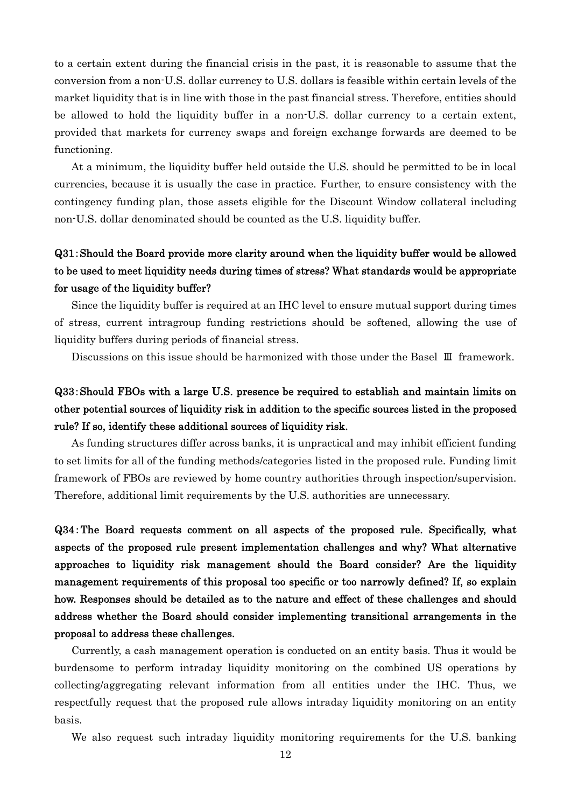to a certain extent during the financial crisis in the past, it is reasonable to assume that the conversion from a non-U.S. dollar currency to U.S. dollars is feasible within certain levels of the market liquidity that is in line with those in the past financial stress. Therefore, entities should be allowed to hold the liquidity buffer in a non-U.S. dollar currency to a certain extent, provided that markets for currency swaps and foreign exchange forwards are deemed to be functioning.

At a minimum, the liquidity buffer held outside the U.S. should be permitted to be in local currencies, because it is usually the case in practice. Further, to ensure consistency with the contingency funding plan, those assets eligible for the Discount Window collateral including non-U.S. dollar denominated should be counted as the U.S. liquidity buffer.

# Q31:Should the Board provide more clarity around when the liquidity buffer would be allowed to be used to meet liquidity needs during times of stress? What standards would be appropriate for usage of the liquidity buffer?

Since the liquidity buffer is required at an IHC level to ensure mutual support during times of stress, current intragroup funding restrictions should be softened, allowing the use of liquidity buffers during periods of financial stress.

Discussions on this issue should be harmonized with those under the Basel Ⅲ framework.

# Q33:Should FBOs with a large U.S. presence be required to establish and maintain limits on other potential sources of liquidity risk in addition to the specific sources listed in the proposed rule? If so, identify these additional sources of liquidity risk.

As funding structures differ across banks, it is unpractical and may inhibit efficient funding to set limits for all of the funding methods/categories listed in the proposed rule. Funding limit framework of FBOs are reviewed by home country authorities through inspection/supervision. Therefore, additional limit requirements by the U.S. authorities are unnecessary.

Q34:The Board requests comment on all aspects of the proposed rule. Specifically, what aspects of the proposed rule present implementation challenges and why? What alternative approaches to liquidity risk management should the Board consider? Are the liquidity management requirements of this proposal too specific or too narrowly defined? If, so explain how. Responses should be detailed as to the nature and effect of these challenges and should address whether the Board should consider implementing transitional arrangements in the proposal to address these challenges.

Currently, a cash management operation is conducted on an entity basis. Thus it would be burdensome to perform intraday liquidity monitoring on the combined US operations by collecting/aggregating relevant information from all entities under the IHC. Thus, we respectfully request that the proposed rule allows intraday liquidity monitoring on an entity basis.

We also request such intraday liquidity monitoring requirements for the U.S. banking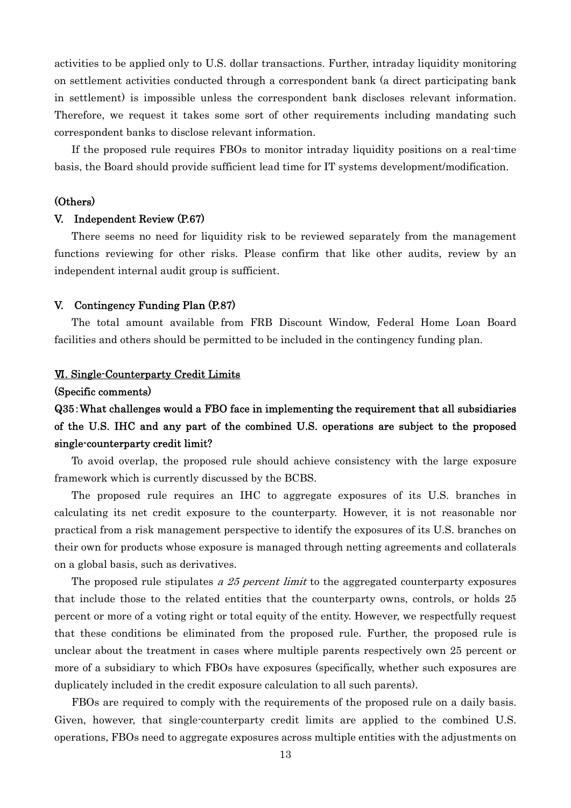activities to be applied only to U.S. dollar transactions. Further, intraday liquidity monitoring on settlement activities conducted through a correspondent bank (a direct participating bank in settlement) is impossible unless the correspondent bank discloses relevant information. Therefore, we request it takes some sort of other requirements including mandating such correspondent banks to disclose relevant information.

If the proposed rule requires FBOs to monitor intraday liquidity positions on a real-time basis, the Board should provide sufficient lead time for IT systems development/modification.

#### (Others)

### V. Independent Review (P.67)

There seems no need for liquidity risk to be reviewed separately from the management functions reviewing for other risks. Please confirm that like other audits, review by an independent internal audit group is sufficient.

#### V. Contingency Funding Plan (P.87)

The total amount available from FRB Discount Window, Federal Home Loan Board facilities and others should be permitted to be included in the contingency funding plan.

### Ⅵ. Single-Counterparty Credit Limits

#### (Specific comments)

# Q35:What challenges would a FBO face in implementing the requirement that all subsidiaries of the U.S. IHC and any part of the combined U.S. operations are subject to the proposed single-counterparty credit limit?

To avoid overlap, the proposed rule should achieve consistency with the large exposure framework which is currently discussed by the BCBS.

The proposed rule requires an IHC to aggregate exposures of its U.S. branches in calculating its net credit exposure to the counterparty. However, it is not reasonable nor practical from a risk management perspective to identify the exposures of its U.S. branches on their own for products whose exposure is managed through netting agreements and collaterals on a global basis, such as derivatives.

The proposed rule stipulates a 25 percent limit to the aggregated counterparty exposures that include those to the related entities that the counterparty owns, controls, or holds 25 percent or more of a voting right or total equity of the entity. However, we respectfully request that these conditions be eliminated from the proposed rule. Further, the proposed rule is unclear about the treatment in cases where multiple parents respectively own 25 percent or more of a subsidiary to which FBOs have exposures (specifically, whether such exposures are duplicately included in the credit exposure calculation to all such parents).

FBOs are required to comply with the requirements of the proposed rule on a daily basis. Given, however, that single-counterparty credit limits are applied to the combined U.S. operations, FBOs need to aggregate exposures across multiple entities with the adjustments on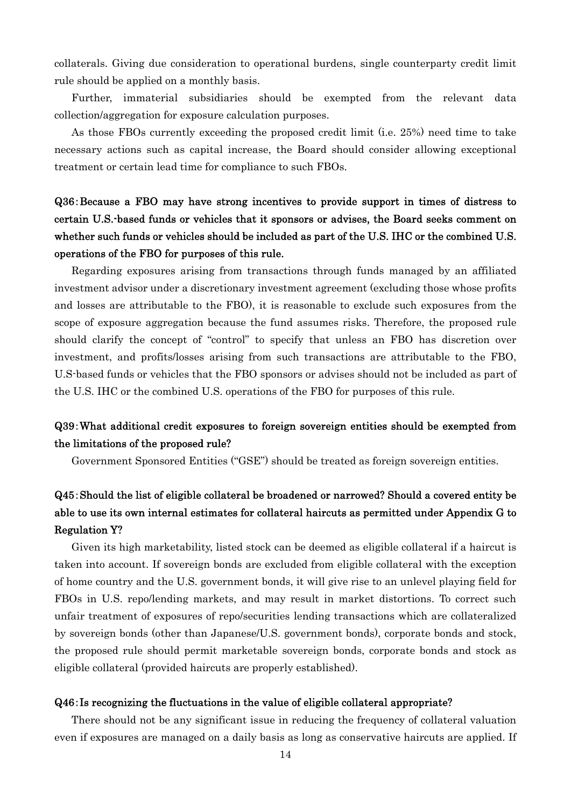collaterals. Giving due consideration to operational burdens, single counterparty credit limit rule should be applied on a monthly basis.

Further, immaterial subsidiaries should be exempted from the relevant data collection/aggregation for exposure calculation purposes.

As those FBOs currently exceeding the proposed credit limit (i.e. 25%) need time to take necessary actions such as capital increase, the Board should consider allowing exceptional treatment or certain lead time for compliance to such FBOs.

# Q36:Because a FBO may have strong incentives to provide support in times of distress to certain U.S.-based funds or vehicles that it sponsors or advises, the Board seeks comment on whether such funds or vehicles should be included as part of the U.S. IHC or the combined U.S. operations of the FBO for purposes of this rule.

Regarding exposures arising from transactions through funds managed by an affiliated investment advisor under a discretionary investment agreement (excluding those whose profits and losses are attributable to the FBO), it is reasonable to exclude such exposures from the scope of exposure aggregation because the fund assumes risks. Therefore, the proposed rule should clarify the concept of "control" to specify that unless an FBO has discretion over investment, and profits/losses arising from such transactions are attributable to the FBO, U.S-based funds or vehicles that the FBO sponsors or advises should not be included as part of the U.S. IHC or the combined U.S. operations of the FBO for purposes of this rule.

## Q39:What additional credit exposures to foreign sovereign entities should be exempted from the limitations of the proposed rule?

Government Sponsored Entities ("GSE") should be treated as foreign sovereign entities.

# Q45:Should the list of eligible collateral be broadened or narrowed? Should a covered entity be able to use its own internal estimates for collateral haircuts as permitted under Appendix G to Regulation Y?

Given its high marketability, listed stock can be deemed as eligible collateral if a haircut is taken into account. If sovereign bonds are excluded from eligible collateral with the exception of home country and the U.S. government bonds, it will give rise to an unlevel playing field for FBOs in U.S. repo/lending markets, and may result in market distortions. To correct such unfair treatment of exposures of repo/securities lending transactions which are collateralized by sovereign bonds (other than Japanese/U.S. government bonds), corporate bonds and stock, the proposed rule should permit marketable sovereign bonds, corporate bonds and stock as eligible collateral (provided haircuts are properly established).

## Q46:Is recognizing the fluctuations in the value of eligible collateral appropriate?

There should not be any significant issue in reducing the frequency of collateral valuation even if exposures are managed on a daily basis as long as conservative haircuts are applied. If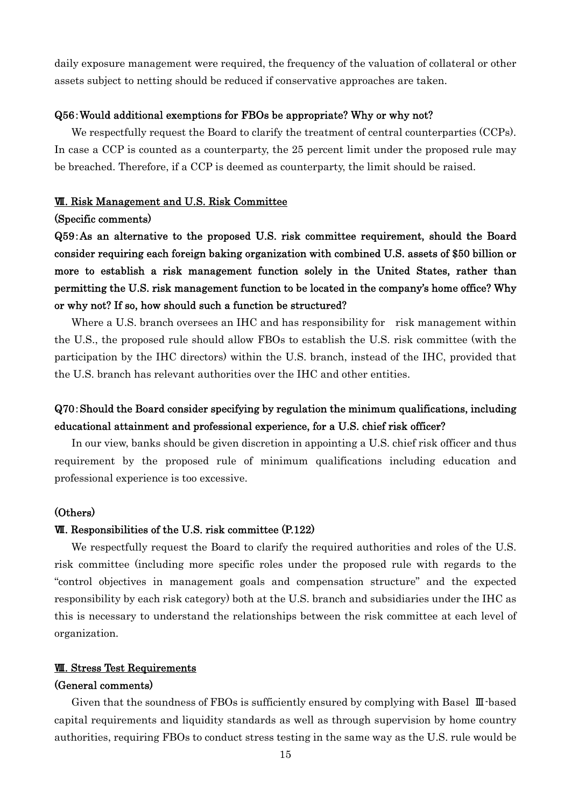daily exposure management were required, the frequency of the valuation of collateral or other assets subject to netting should be reduced if conservative approaches are taken.

#### Q56:Would additional exemptions for FBOs be appropriate? Why or why not?

We respectfully request the Board to clarify the treatment of central counterparties (CCPs). In case a CCP is counted as a counterparty, the 25 percent limit under the proposed rule may be breached. Therefore, if a CCP is deemed as counterparty, the limit should be raised.

#### Ⅶ. Risk Management and U.S. Risk Committee

#### (Specific comments)

Q59:As an alternative to the proposed U.S. risk committee requirement, should the Board consider requiring each foreign baking organization with combined U.S. assets of \$50 billion or more to establish a risk management function solely in the United States, rather than permitting the U.S. risk management function to be located in the company's home office? Why or why not? If so, how should such a function be structured?

Where a U.S. branch oversees an IHC and has responsibility for risk management within the U.S., the proposed rule should allow FBOs to establish the U.S. risk committee (with the participation by the IHC directors) within the U.S. branch, instead of the IHC, provided that the U.S. branch has relevant authorities over the IHC and other entities.

# Q70:Should the Board consider specifying by regulation the minimum qualifications, including educational attainment and professional experience, for a U.S. chief risk officer?

In our view, banks should be given discretion in appointing a U.S. chief risk officer and thus requirement by the proposed rule of minimum qualifications including education and professional experience is too excessive.

## (Others)

### Ⅶ. Responsibilities of the U.S. risk committee (P.122)

We respectfully request the Board to clarify the required authorities and roles of the U.S. risk committee (including more specific roles under the proposed rule with regards to the "control objectives in management goals and compensation structure" and the expected responsibility by each risk category) both at the U.S. branch and subsidiaries under the IHC as this is necessary to understand the relationships between the risk committee at each level of organization.

## Ⅷ. Stress Test Requirements

#### (General comments)

Given that the soundness of FBOs is sufficiently ensured by complying with Basel Ⅲ-based capital requirements and liquidity standards as well as through supervision by home country authorities, requiring FBOs to conduct stress testing in the same way as the U.S. rule would be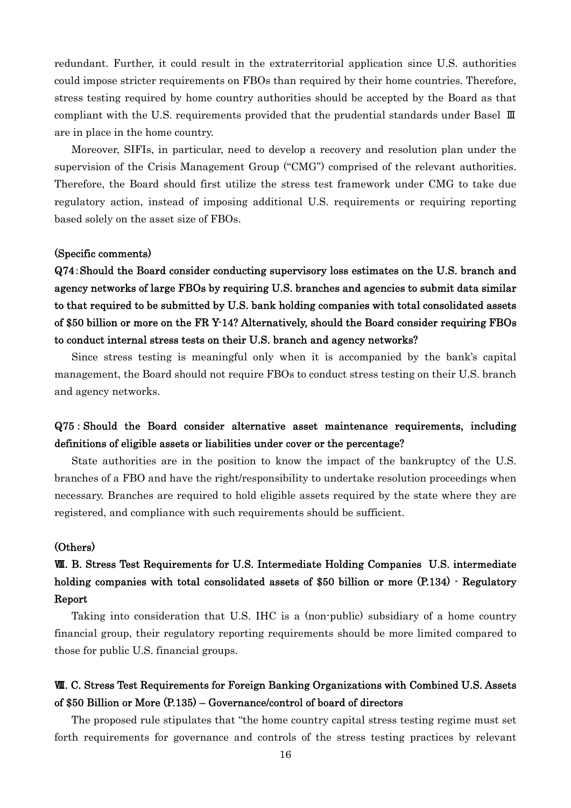redundant. Further, it could result in the extraterritorial application since U.S. authorities could impose stricter requirements on FBOs than required by their home countries. Therefore, stress testing required by home country authorities should be accepted by the Board as that compliant with the U.S. requirements provided that the prudential standards under Basel Ⅲ are in place in the home country.

Moreover, SIFIs, in particular, need to develop a recovery and resolution plan under the supervision of the Crisis Management Group ("CMG") comprised of the relevant authorities. Therefore, the Board should first utilize the stress test framework under CMG to take due regulatory action, instead of imposing additional U.S. requirements or requiring reporting based solely on the asset size of FBOs.

### (Specific comments)

Q74:Should the Board consider conducting supervisory loss estimates on the U.S. branch and agency networks of large FBOs by requiring U.S. branches and agencies to submit data similar to that required to be submitted by U.S. bank holding companies with total consolidated assets of \$50 billion or more on the FR Y-14? Alternatively, should the Board consider requiring FBOs to conduct internal stress tests on their U.S. branch and agency networks?

Since stress testing is meaningful only when it is accompanied by the bank's capital management, the Board should not require FBOs to conduct stress testing on their U.S. branch and agency networks.

# Q75 : Should the Board consider alternative asset maintenance requirements, including definitions of eligible assets or liabilities under cover or the percentage?

State authorities are in the position to know the impact of the bankruptcy of the U.S. branches of a FBO and have the right/responsibility to undertake resolution proceedings when necessary. Branches are required to hold eligible assets required by the state where they are registered, and compliance with such requirements should be sufficient.

#### (Others)

# Ⅷ. B. Stress Test Requirements for U.S. Intermediate Holding Companies U.S. intermediate holding companies with total consolidated assets of \$50 billion or more  $(P.134)$  - Regulatory Report

Taking into consideration that U.S. IHC is a (non-public) subsidiary of a home country financial group, their regulatory reporting requirements should be more limited compared to those for public U.S. financial groups.

# Ⅷ. C. Stress Test Requirements for Foreign Banking Organizations with Combined U.S. Assets of \$50 Billion or More (P.135) – Governance/control of board of directors

The proposed rule stipulates that "the home country capital stress testing regime must set forth requirements for governance and controls of the stress testing practices by relevant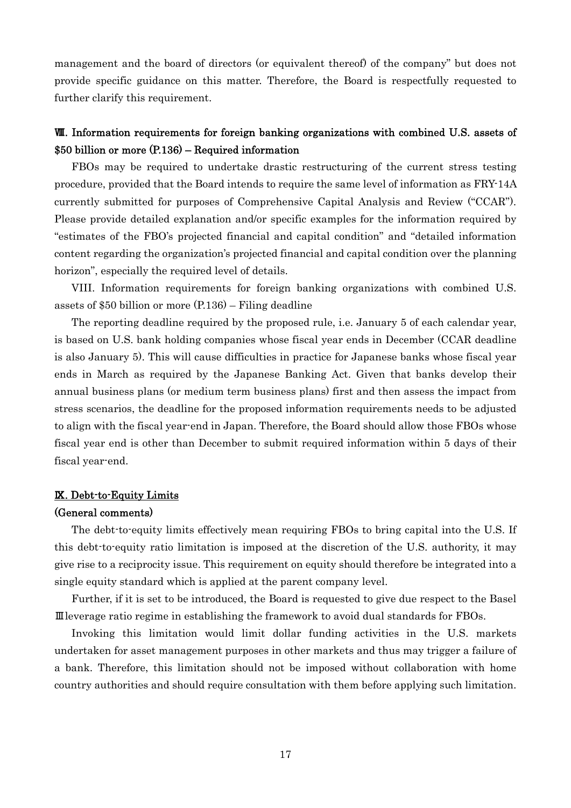management and the board of directors (or equivalent thereof) of the company" but does not provide specific guidance on this matter. Therefore, the Board is respectfully requested to further clarify this requirement.

# Ⅷ. Information requirements for foreign banking organizations with combined U.S. assets of \$50 billion or more (P.136) – Required information

FBOs may be required to undertake drastic restructuring of the current stress testing procedure, provided that the Board intends to require the same level of information as FRY-14A currently submitted for purposes of Comprehensive Capital Analysis and Review ("CCAR"). Please provide detailed explanation and/or specific examples for the information required by "estimates of the FBO's projected financial and capital condition" and "detailed information content regarding the organization's projected financial and capital condition over the planning horizon", especially the required level of details.

VIII. Information requirements for foreign banking organizations with combined U.S. assets of \$50 billion or more (P.136) – Filing deadline

The reporting deadline required by the proposed rule, i.e. January 5 of each calendar year, is based on U.S. bank holding companies whose fiscal year ends in December (CCAR deadline is also January 5). This will cause difficulties in practice for Japanese banks whose fiscal year ends in March as required by the Japanese Banking Act. Given that banks develop their annual business plans (or medium term business plans) first and then assess the impact from stress scenarios, the deadline for the proposed information requirements needs to be adjusted to align with the fiscal year-end in Japan. Therefore, the Board should allow those FBOs whose fiscal year end is other than December to submit required information within 5 days of their fiscal year-end.

#### Ⅸ. Debt-to-Equity Limits

#### (General comments)

The debt-to-equity limits effectively mean requiring FBOs to bring capital into the U.S. If this debt-to-equity ratio limitation is imposed at the discretion of the U.S. authority, it may give rise to a reciprocity issue. This requirement on equity should therefore be integrated into a single equity standard which is applied at the parent company level.

Further, if it is set to be introduced, the Board is requested to give due respect to the Basel Ⅲleverage ratio regime in establishing the framework to avoid dual standards for FBOs.

Invoking this limitation would limit dollar funding activities in the U.S. markets undertaken for asset management purposes in other markets and thus may trigger a failure of a bank. Therefore, this limitation should not be imposed without collaboration with home country authorities and should require consultation with them before applying such limitation.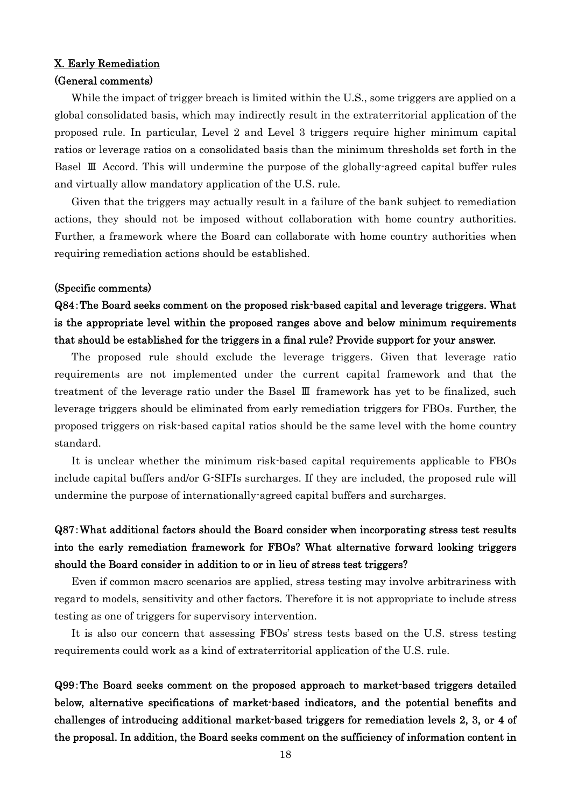### X. Early Remediation

### (General comments)

While the impact of trigger breach is limited within the U.S., some triggers are applied on a global consolidated basis, which may indirectly result in the extraterritorial application of the proposed rule. In particular, Level 2 and Level 3 triggers require higher minimum capital ratios or leverage ratios on a consolidated basis than the minimum thresholds set forth in the Basel Ⅲ Accord. This will undermine the purpose of the globally-agreed capital buffer rules and virtually allow mandatory application of the U.S. rule.

Given that the triggers may actually result in a failure of the bank subject to remediation actions, they should not be imposed without collaboration with home country authorities. Further, a framework where the Board can collaborate with home country authorities when requiring remediation actions should be established.

### (Specific comments)

# Q84:The Board seeks comment on the proposed risk-based capital and leverage triggers. What is the appropriate level within the proposed ranges above and below minimum requirements that should be established for the triggers in a final rule? Provide support for your answer.

The proposed rule should exclude the leverage triggers. Given that leverage ratio requirements are not implemented under the current capital framework and that the treatment of the leverage ratio under the Basel Ⅲ framework has yet to be finalized, such leverage triggers should be eliminated from early remediation triggers for FBOs. Further, the proposed triggers on risk-based capital ratios should be the same level with the home country standard.

It is unclear whether the minimum risk-based capital requirements applicable to FBOs include capital buffers and/or G-SIFIs surcharges. If they are included, the proposed rule will undermine the purpose of internationally-agreed capital buffers and surcharges.

# Q87:What additional factors should the Board consider when incorporating stress test results into the early remediation framework for FBOs? What alternative forward looking triggers should the Board consider in addition to or in lieu of stress test triggers?

Even if common macro scenarios are applied, stress testing may involve arbitrariness with regard to models, sensitivity and other factors. Therefore it is not appropriate to include stress testing as one of triggers for supervisory intervention.

It is also our concern that assessing FBOs' stress tests based on the U.S. stress testing requirements could work as a kind of extraterritorial application of the U.S. rule.

Q99:The Board seeks comment on the proposed approach to market-based triggers detailed below, alternative specifications of market-based indicators, and the potential benefits and challenges of introducing additional market-based triggers for remediation levels 2, 3, or 4 of the proposal. In addition, the Board seeks comment on the sufficiency of information content in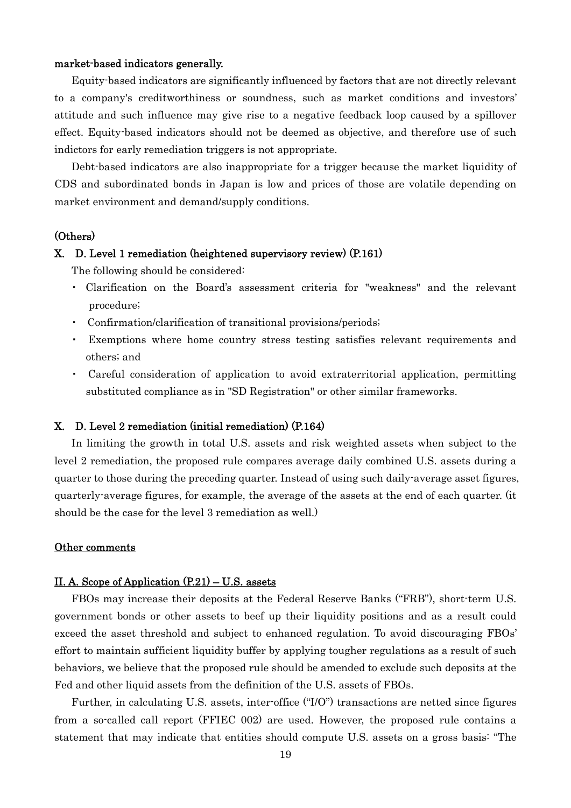### market-based indicators generally.

Equity-based indicators are significantly influenced by factors that are not directly relevant to a company's creditworthiness or soundness, such as market conditions and investors' attitude and such influence may give rise to a negative feedback loop caused by a spillover effect. Equity-based indicators should not be deemed as objective, and therefore use of such indictors for early remediation triggers is not appropriate.

Debt-based indicators are also inappropriate for a trigger because the market liquidity of CDS and subordinated bonds in Japan is low and prices of those are volatile depending on market environment and demand/supply conditions.

### (Others)

#### X. D. Level 1 remediation (heightened supervisory review) (P.161)

The following should be considered:

- ・ Clarification on the Board's assessment criteria for "weakness" and the relevant procedure;
- ・ Confirmation/clarification of transitional provisions/periods;
- Exemptions where home country stress testing satisfies relevant requirements and others; and
- ・ Careful consideration of application to avoid extraterritorial application, permitting substituted compliance as in "SD Registration" or other similar frameworks.

## X. D. Level 2 remediation (initial remediation) (P.164)

In limiting the growth in total U.S. assets and risk weighted assets when subject to the level 2 remediation, the proposed rule compares average daily combined U.S. assets during a quarter to those during the preceding quarter. Instead of using such daily-average asset figures, quarterly-average figures, for example, the average of the assets at the end of each quarter. (it should be the case for the level 3 remediation as well.)

### Other comments

#### II. A. Scope of Application (P.21) – U.S. assets

FBOs may increase their deposits at the Federal Reserve Banks ("FRB"), short-term U.S. government bonds or other assets to beef up their liquidity positions and as a result could exceed the asset threshold and subject to enhanced regulation. To avoid discouraging FBOs' effort to maintain sufficient liquidity buffer by applying tougher regulations as a result of such behaviors, we believe that the proposed rule should be amended to exclude such deposits at the Fed and other liquid assets from the definition of the U.S. assets of FBOs.

Further, in calculating U.S. assets, inter-office ("I/O") transactions are netted since figures from a so-called call report (FFIEC 002) are used. However, the proposed rule contains a statement that may indicate that entities should compute U.S. assets on a gross basis: "The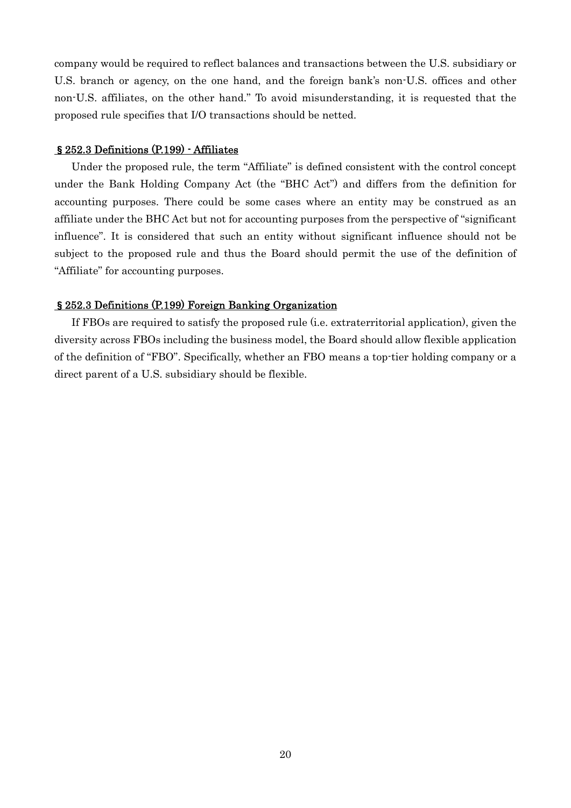company would be required to reflect balances and transactions between the U.S. subsidiary or U.S. branch or agency, on the one hand, and the foreign bank's non-U.S. offices and other non-U.S. affiliates, on the other hand." To avoid misunderstanding, it is requested that the proposed rule specifies that I/O transactions should be netted.

### §252.3 Definitions (P.199) - Affiliates

Under the proposed rule, the term "Affiliate" is defined consistent with the control concept under the Bank Holding Company Act (the "BHC Act") and differs from the definition for accounting purposes. There could be some cases where an entity may be construed as an affiliate under the BHC Act but not for accounting purposes from the perspective of "significant influence". It is considered that such an entity without significant influence should not be subject to the proposed rule and thus the Board should permit the use of the definition of "Affiliate" for accounting purposes.

## §252.3 Definitions (P.199) Foreign Banking Organization

If FBOs are required to satisfy the proposed rule (i.e. extraterritorial application), given the diversity across FBOs including the business model, the Board should allow flexible application of the definition of "FBO". Specifically, whether an FBO means a top-tier holding company or a direct parent of a U.S. subsidiary should be flexible.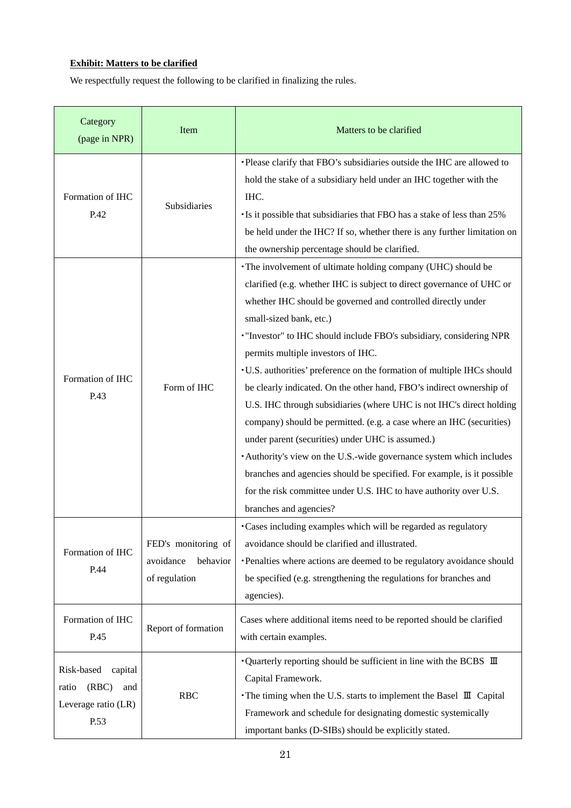## **Exhibit: Matters to be clarified**

We respectfully request the following to be clarified in finalizing the rules.

| Category<br>(page in NPR)                                                     | Item                                                          | Matters to be clarified                                                                                                                                                                                                                                                                                                                                                                                                                                                                                                                                                                                                                                                                                                                                                                                                                                                                                                                             |
|-------------------------------------------------------------------------------|---------------------------------------------------------------|-----------------------------------------------------------------------------------------------------------------------------------------------------------------------------------------------------------------------------------------------------------------------------------------------------------------------------------------------------------------------------------------------------------------------------------------------------------------------------------------------------------------------------------------------------------------------------------------------------------------------------------------------------------------------------------------------------------------------------------------------------------------------------------------------------------------------------------------------------------------------------------------------------------------------------------------------------|
| Formation of IHC<br>P.42                                                      | Subsidiaries                                                  | Please clarify that FBO's subsidiaries outside the IHC are allowed to<br>hold the stake of a subsidiary held under an IHC together with the<br>IHC.<br>Is it possible that subsidiaries that FBO has a stake of less than 25%<br>be held under the IHC? If so, whether there is any further limitation on<br>the ownership percentage should be clarified.                                                                                                                                                                                                                                                                                                                                                                                                                                                                                                                                                                                          |
| Formation of IHC<br>P.43                                                      | Form of IHC                                                   | • The involvement of ultimate holding company (UHC) should be<br>clarified (e.g. whether IHC is subject to direct governance of UHC or<br>whether IHC should be governed and controlled directly under<br>small-sized bank, etc.)<br>"Investor" to IHC should include FBO's subsidiary, considering NPR<br>permits multiple investors of IHC.<br>· U.S. authorities' preference on the formation of multiple IHCs should<br>be clearly indicated. On the other hand, FBO's indirect ownership of<br>U.S. IHC through subsidiaries (where UHC is not IHC's direct holding<br>company) should be permitted. (e.g. a case where an IHC (securities)<br>under parent (securities) under UHC is assumed.)<br>Authority's view on the U.S.-wide governance system which includes<br>branches and agencies should be specified. For example, is it possible<br>for the risk committee under U.S. IHC to have authority over U.S.<br>branches and agencies? |
| Formation of IHC<br>P.44                                                      | FED's monitoring of<br>avoidance<br>behavior<br>of regulation | ·Cases including examples which will be regarded as regulatory<br>avoidance should be clarified and illustrated.<br>Penalties where actions are deemed to be regulatory avoidance should<br>be specified (e.g. strengthening the regulations for branches and<br>agencies).                                                                                                                                                                                                                                                                                                                                                                                                                                                                                                                                                                                                                                                                         |
| Formation of IHC<br>P.45                                                      | Report of formation                                           | Cases where additional items need to be reported should be clarified<br>with certain examples.                                                                                                                                                                                                                                                                                                                                                                                                                                                                                                                                                                                                                                                                                                                                                                                                                                                      |
| Risk-based<br>capital<br>(RBC)<br>ratio<br>and<br>Leverage ratio (LR)<br>P.53 | <b>RBC</b>                                                    | • Quarterly reporting should be sufficient in line with the BCBS $\mathbb I$<br>Capital Framework.<br>• The timing when the U.S. starts to implement the Basel III Capital<br>Framework and schedule for designating domestic systemically<br>important banks (D-SIBs) should be explicitly stated.                                                                                                                                                                                                                                                                                                                                                                                                                                                                                                                                                                                                                                                 |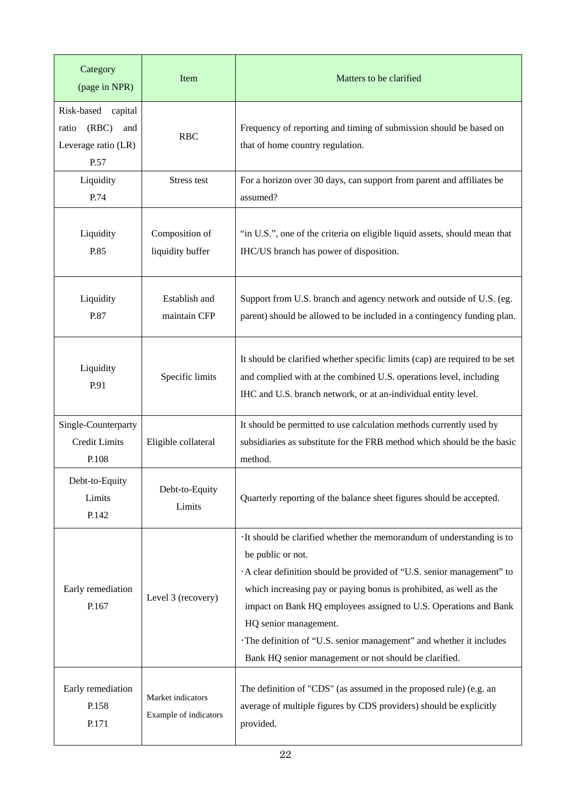| Category<br>(page in NPR)                                                     | Item                                       | Matters to be clarified                                                                                                                                                                                                                                                                                                                                                                                                                                               |
|-------------------------------------------------------------------------------|--------------------------------------------|-----------------------------------------------------------------------------------------------------------------------------------------------------------------------------------------------------------------------------------------------------------------------------------------------------------------------------------------------------------------------------------------------------------------------------------------------------------------------|
| Risk-based<br>capital<br>ratio<br>(RBC)<br>and<br>Leverage ratio (LR)<br>P.57 | <b>RBC</b>                                 | Frequency of reporting and timing of submission should be based on<br>that of home country regulation.                                                                                                                                                                                                                                                                                                                                                                |
| Liquidity<br>P.74                                                             | Stress test                                | For a horizon over 30 days, can support from parent and affiliates be<br>assumed?                                                                                                                                                                                                                                                                                                                                                                                     |
| Liquidity<br>P.85                                                             | Composition of<br>liquidity buffer         | "in U.S.", one of the criteria on eligible liquid assets, should mean that<br>IHC/US branch has power of disposition.                                                                                                                                                                                                                                                                                                                                                 |
| Liquidity<br>P.87                                                             | Establish and<br>maintain CFP              | Support from U.S. branch and agency network and outside of U.S. (eg.<br>parent) should be allowed to be included in a contingency funding plan.                                                                                                                                                                                                                                                                                                                       |
| Liquidity<br>P.91                                                             | Specific limits                            | It should be clarified whether specific limits (cap) are required to be set<br>and complied with at the combined U.S. operations level, including<br>IHC and U.S. branch network, or at an-individual entity level.                                                                                                                                                                                                                                                   |
| Single-Counterparty<br>Credit Limits<br>P.108                                 | Eligible collateral                        | It should be permitted to use calculation methods currently used by<br>subsidiaries as substitute for the FRB method which should be the basic<br>method.                                                                                                                                                                                                                                                                                                             |
| Debt-to-Equity<br>Limits<br>P.142                                             | Debt-to-Equity<br>Limits                   | Quarterly reporting of the balance sheet figures should be accepted.                                                                                                                                                                                                                                                                                                                                                                                                  |
| Early remediation<br>P.167                                                    | Level 3 (recovery)                         | · It should be clarified whether the memorandum of understanding is to<br>be public or not.<br>A clear definition should be provided of "U.S. senior management" to<br>which increasing pay or paying bonus is prohibited, as well as the<br>impact on Bank HQ employees assigned to U.S. Operations and Bank<br>HQ senior management.<br>The definition of "U.S. senior management" and whether it includes<br>Bank HQ senior management or not should be clarified. |
| Early remediation<br>P.158<br>P.171                                           | Market indicators<br>Example of indicators | The definition of "CDS" (as assumed in the proposed rule) (e.g. an<br>average of multiple figures by CDS providers) should be explicitly<br>provided.                                                                                                                                                                                                                                                                                                                 |